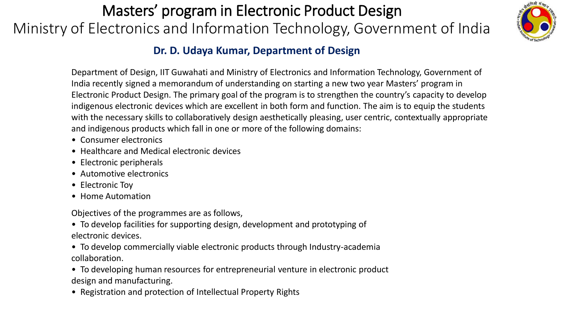## Masters' program in Electronic Product Design Ministry of Electronics and Information Technology, Government of India



## **Dr. D. Udaya Kumar, Department of Design**

Department of Design, IIT Guwahati and Ministry of Electronics and Information Technology, Government of India recently signed a memorandum of understanding on starting a new two year Masters' program in Electronic Product Design. The primary goal of the program is to strengthen the country's capacity to develop indigenous electronic devices which are excellent in both form and function. The aim is to equip the students with the necessary skills to collaboratively design aesthetically pleasing, user centric, contextually appropriate and indigenous products which fall in one or more of the following domains:

- Consumer electronics
- Healthcare and Medical electronic devices
- Electronic peripherals
- Automotive electronics
- Electronic Toy
- Home Automation

Objectives of the programmes are as follows,

• To develop facilities for supporting design, development and prototyping of electronic devices.

- To develop commercially viable electronic products through Industry-academia collaboration.
- To developing human resources for entrepreneurial venture in electronic product design and manufacturing.
- Registration and protection of Intellectual Property Rights